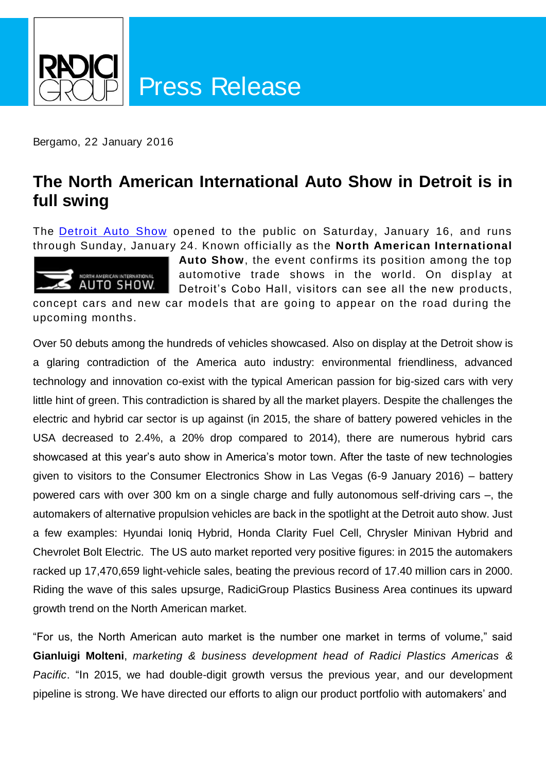

Bergamo, 22 January 2016

### **The North American International Auto Show in Detroit is in full swing**

The **[Detroit Auto Show](http://naias.com/)** opened to the public on Saturday, January 16, and runs through Sunday, January 24. Known officially as the **North American International** 



**Auto Show**, the event confirms its position among the top automotive trade shows in the world. On display at Detroit's Cobo Hall, visitors can see all the new products,

concept cars and new car models that are going to appear on the road during the upcoming months.

Over 50 debuts among the hundreds of vehicles showcased. Also on display at the Detroit show is a glaring contradiction of the America auto industry: environmental friendliness, advanced technology and innovation co-exist with the typical American passion for big-sized cars with very little hint of green. This contradiction is shared by all the market players. Despite the challenges the electric and hybrid car sector is up against (in 2015, the share of battery powered vehicles in the USA decreased to 2.4%, a 20% drop compared to 2014), there are numerous hybrid cars showcased at this year's auto show in America's motor town. After the taste of new technologies given to visitors to the Consumer Electronics Show in Las Vegas (6-9 January 2016) – battery powered cars with over 300 km on a single charge and fully autonomous self-driving cars –, the automakers of alternative propulsion vehicles are back in the spotlight at the Detroit auto show. Just a few examples: Hyundai Ioniq Hybrid, Honda Clarity Fuel Cell, Chrysler Minivan Hybrid and Chevrolet Bolt Electric. The US auto market reported very positive figures: in 2015 the automakers racked up 17,470,659 light-vehicle sales, beating the previous record of 17.40 million cars in 2000. Riding the wave of this sales upsurge, RadiciGroup Plastics Business Area continues its upward growth trend on the North American market.

"For us, the North American auto market is the number one market in terms of volume," said **Gianluigi Molteni**, *marketing & business development head of Radici Plastics Americas & Pacific*. "In 2015, we had double-digit growth versus the previous year, and our development pipeline is strong. We have directed our efforts to align our product portfolio with automakers' and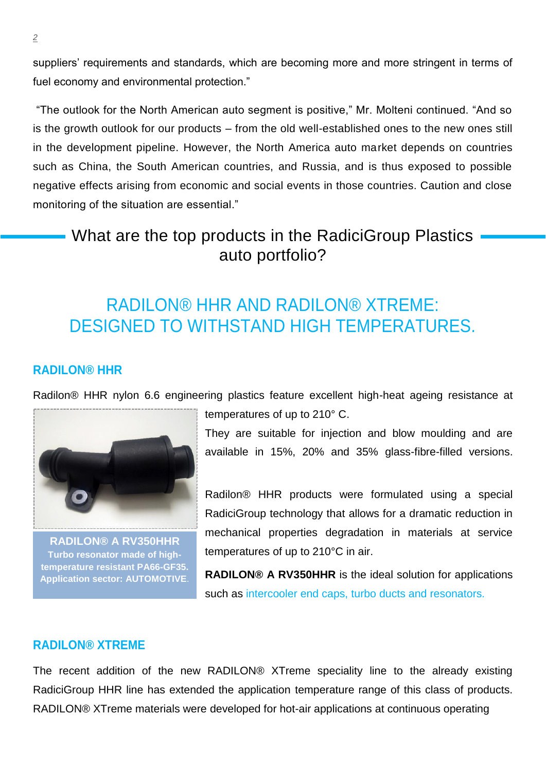suppliers' requirements and standards, which are becoming more and more stringent in terms of fuel economy and environmental protection."

"The outlook for the North American auto segment is positive," Mr. Molteni continued. "And so is the growth outlook for our products – from the old well-established ones to the new ones still in the development pipeline. However, the North America auto market depends on countries such as China, the South American countries, and Russia, and is thus exposed to possible negative effects arising from economic and social events in those countries. Caution and close monitoring of the situation are essential."

### What are the top products in the RadiciGroup Plastics auto portfolio?

### RADILON® HHR AND RADILON® XTREME: DESIGNED TO WITHSTAND HIGH TEMPERATURES.

#### **RADILON® HHR**

Radilon® HHR nylon 6.6 engineering plastics feature excellent high-heat ageing resistance at



**RADILON® A RV350HHR Turbo resonator made of hightemperature resistant PA66-GF35. Application sector: AUTOMOTIVE**.

temperatures of up to 210° C.

They are suitable for injection and blow moulding and are available in 15%, 20% and 35% glass-fibre-filled versions.

Radilon® HHR products were formulated using a special RadiciGroup technology that allows for a dramatic reduction in mechanical properties degradation in materials at service temperatures of up to 210°C in air.

**RADILON® A RV350HHR** is the ideal solution for applications such as intercooler end caps, turbo ducts and resonators*.*

#### **RADILON® XTREME**

The recent addition of the new RADILON® XTreme speciality line to the already existing RadiciGroup HHR line has extended the application temperature range of this class of products. RADILON® XTreme materials were developed for hot-air applications at continuous operating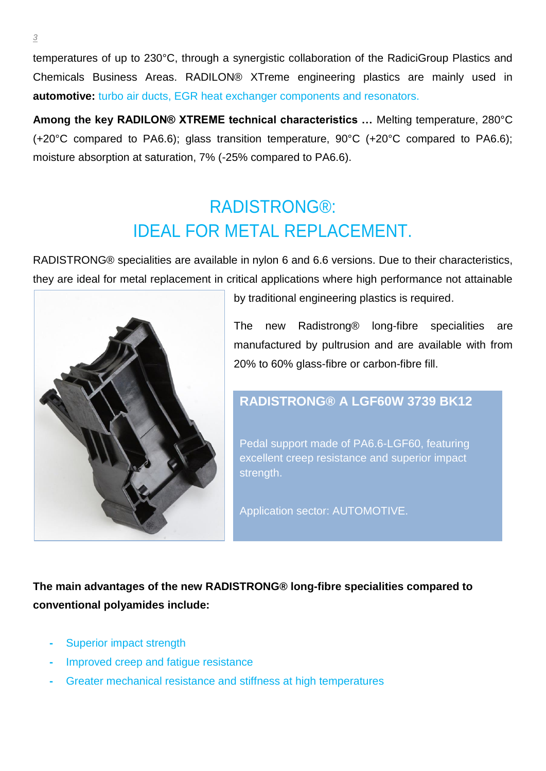temperatures of up to 230°C, through a synergistic collaboration of the RadiciGroup Plastics and Chemicals Business Areas. RADILON® XTreme engineering plastics are mainly used in **automotive:** *turbo* air ducts, EGR heat exchanger components and resonators.

**Among the key RADILON® XTREME technical characteristics …** Melting temperature, 280°C (+20°C compared to PA6.6); glass transition temperature, 90°C (+20°C compared to PA6.6); moisture absorption at saturation, 7% (-25% compared to PA6.6).

# RADISTRONG®: IDEAL FOR METAL REPLACEMENT.

RADISTRONG® specialities are available in nylon 6 and 6.6 versions. Due to their characteristics, they are ideal for metal replacement in critical applications where high performance not attainable



by traditional engineering plastics is required.

The new Radistrong® long-fibre specialities are manufactured by pultrusion and are available with from 20% to 60% glass-fibre or carbon-fibre fill.

#### **RADISTRONG® A LGF60W 3739 BK12**

Pedal support made of PA6.6-LGF60, featuring excellent creep resistance and superior impact strength.

Application sector: AUTOMOTIVE.

**The main advantages of the new RADISTRONG® long-fibre specialities compared to conventional polyamides include:**

- **-** Superior impact strength
- **-** Improved creep and fatigue resistance
- **-** Greater mechanical resistance and stiffness at high temperatures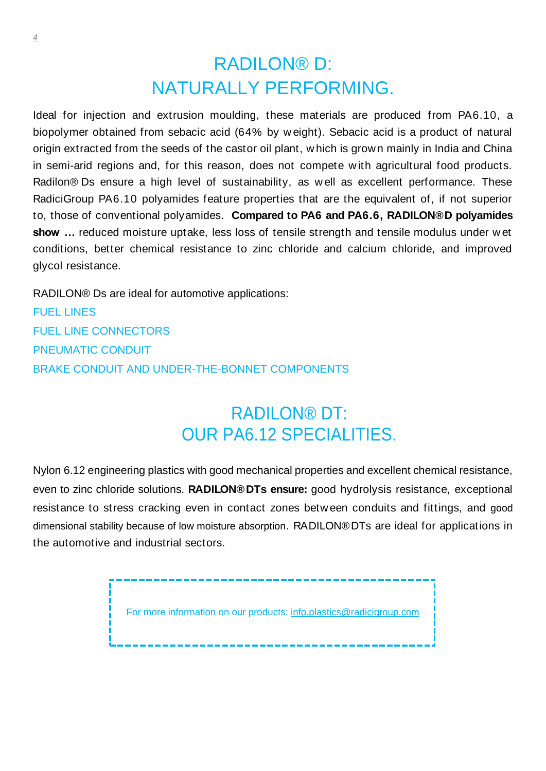# RADILON® D: NATURALLY PERFORMING.

Ideal for injection and extrusion moulding, these materials are produced from PA6.10, a biopolymer obtained from sebacic acid (64% by w eight). Sebacic acid is a product of natural origin extracted from the seeds of the castor oil plant, w hich is grow n mainly in India and China in semi-arid regions and, for this reason, does not compete w ith agricultural food products. Radilon<sup>®</sup> Ds ensure a high level of sustainability, as well as excellent performance. These RadiciGroup PA6.10 polyamides feature properties that are the equivalent of, if not superior to, those of conventional polyamides. **Compared to PA6 and PA6.6, RADILON® D polyamides show …** reduced moisture uptake, less loss of tensile strength and tensile modulus under w et conditions, better chemical resistance to zinc chloride and calcium chloride, and improved glycol resistance.

RADILON® Ds are ideal for automotive applications:

FUEL LINES FUEL LINE CONNECTORS PNEUMATIC CONDUIT BRAKE CONDUIT AND UNDER-THE-BONNET COMPONENTS

# RADILON® DT: OUR PA6.12 SPECIALITIES.

Nylon 6.12 engineering plastics with good mechanical properties and excellent chemical resistance, even to zinc chloride solutions. **RADILON® DTs ensure:** good hydrolysis resistance, exceptional resistance to stress cracking even in contact zones betw een conduits and fittings, and good dimensional stability because of low moisture absorption. RADILON® DTs are ideal for applications in the automotive and industrial sectors.

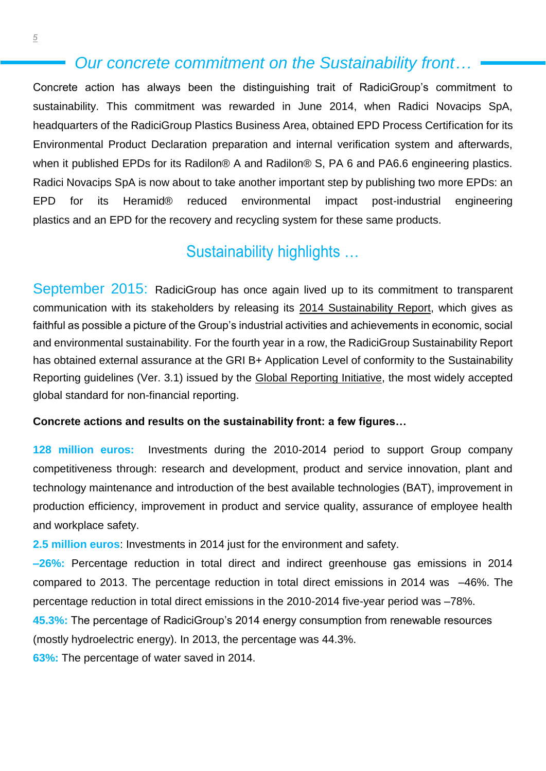#### *Our concrete commitment on the Sustainability front…*

Concrete action has always been the distinguishing trait of RadiciGroup's commitment to sustainability. This commitment was rewarded in June 2014, when Radici Novacips SpA, headquarters of the RadiciGroup Plastics Business Area, obtained EPD Process Certification for its Environmental Product Declaration preparation and internal verification system and afterwards, when it published EPDs for its Radilon<sup>®</sup> A and Radilon<sup>®</sup> S, PA 6 and PA6.6 engineering plastics. Radici Novacips SpA is now about to take another important step by publishing two more EPDs: an EPD for its Heramid® reduced environmental impact post-industrial engineering plastics and an EPD for the recovery and recycling system for these same products.

### Sustainability highlights …

September 2015: RadiciGroup has once again lived up to its commitment to transparent communication with its stakeholders by releasing its [2014 Sustainability Report,](http://www.radicigroup.com/en/documentation/corporate/report) which gives as faithful as possible a picture of the Group's industrial activities and achievements in economic, social and environmental sustainability. For the fourth year in a row, the RadiciGroup Sustainability Report has obtained external assurance at the GRI B+ Application Level of conformity to the Sustainability Reporting guidelines (Ver. 3.1) issued by the Global Reporting Initiative, the most widely accepted global standard for non-financial reporting.

#### **Concrete actions and results on the sustainability front: a few figures…**

**128 million euros:** Investments during the 2010-2014 period to support Group company competitiveness through: research and development, product and service innovation, plant and technology maintenance and introduction of the best available technologies (BAT), improvement in production efficiency, improvement in product and service quality, assurance of employee health and workplace safety.

**2.5 million euros**: Investments in 2014 just for the environment and safety.

**–26%:** Percentage reduction in total direct and indirect greenhouse gas emissions in 2014 compared to 2013. The percentage reduction in total direct emissions in 2014 was –46%. The percentage reduction in total direct emissions in the 2010-2014 five-year period was –78%.

**45.3%:** The percentage of RadiciGroup's 2014 energy consumption from renewable resources (mostly hydroelectric energy). In 2013, the percentage was 44.3%.

**63%:** The percentage of water saved in 2014.